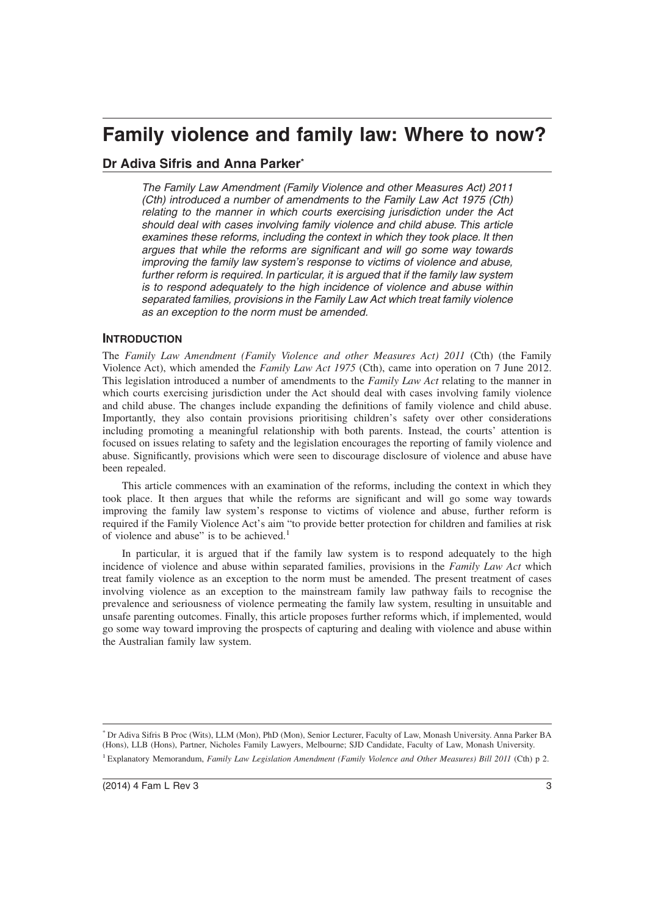# **Family violence and family law: Where to now?**

# **Dr Adiva Sifris and Anna Parker\***

The Family Law Amendment (Family Violence and other Measures Act) 2011 (Cth) introduced a number of amendments to the Family Law Act 1975 (Cth) relating to the manner in which courts exercising jurisdiction under the Act should deal with cases involving family violence and child abuse. This article examines these reforms, including the context in which they took place. It then argues that while the reforms are significant and will go some way towards improving the family law system's response to victims of violence and abuse, further reform is required. In particular, it is argued that if the family law system is to respond adequately to the high incidence of violence and abuse within separated families, provisions in the Family Law Act which treat family violence as an exception to the norm must be amended.

# **INTRODUCTION**

The *Family Law Amendment (Family Violence and other Measures Act) 2011* (Cth) (the Family Violence Act), which amended the *Family Law Act 1975* (Cth), came into operation on 7 June 2012. This legislation introduced a number of amendments to the *Family Law Act* relating to the manner in which courts exercising jurisdiction under the Act should deal with cases involving family violence and child abuse. The changes include expanding the definitions of family violence and child abuse. Importantly, they also contain provisions prioritising children's safety over other considerations including promoting a meaningful relationship with both parents. Instead, the courts' attention is focused on issues relating to safety and the legislation encourages the reporting of family violence and abuse. Significantly, provisions which were seen to discourage disclosure of violence and abuse have been repealed.

This article commences with an examination of the reforms, including the context in which they took place. It then argues that while the reforms are significant and will go some way towards improving the family law system's response to victims of violence and abuse, further reform is required if the Family Violence Act's aim "to provide better protection for children and families at risk of violence and abuse" is to be achieved.<sup>1</sup>

In particular, it is argued that if the family law system is to respond adequately to the high incidence of violence and abuse within separated families, provisions in the *Family Law Act* which treat family violence as an exception to the norm must be amended. The present treatment of cases involving violence as an exception to the mainstream family law pathway fails to recognise the prevalence and seriousness of violence permeating the family law system, resulting in unsuitable and unsafe parenting outcomes. Finally, this article proposes further reforms which, if implemented, would go some way toward improving the prospects of capturing and dealing with violence and abuse within the Australian family law system.

<sup>\*</sup> Dr Adiva Sifris B Proc (Wits), LLM (Mon), PhD (Mon), Senior Lecturer, Faculty of Law, Monash University. Anna Parker BA (Hons), LLB (Hons), Partner, Nicholes Family Lawyers, Melbourne; SJD Candidate, Faculty of Law, Monash University. <sup>1</sup> Explanatory Memorandum, *Family Law Legislation Amendment (Family Violence and Other Measures) Bill 2011* (Cth) p 2.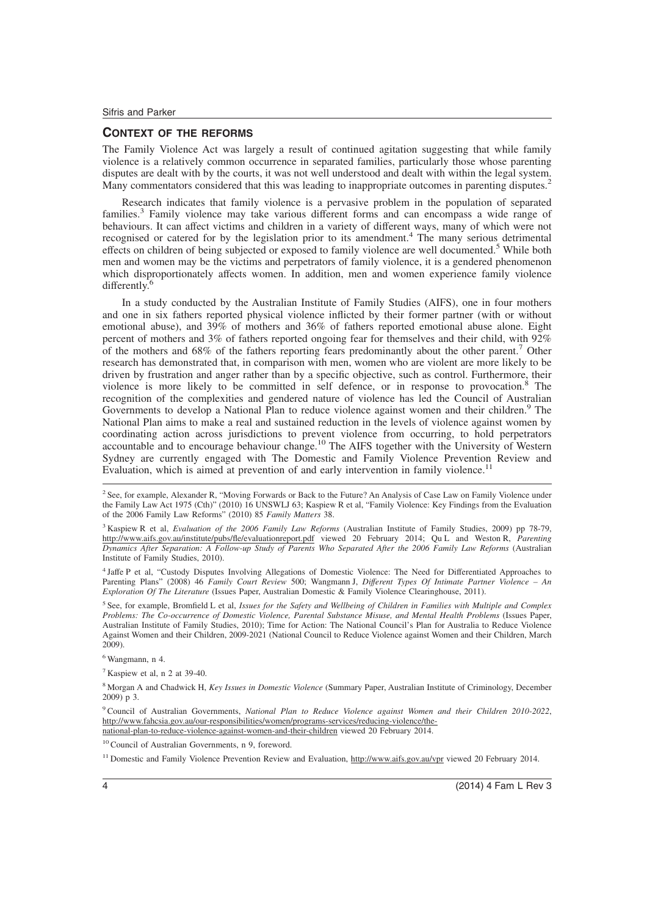## **CONTEXT OF THE REFORMS**

The Family Violence Act was largely a result of continued agitation suggesting that while family violence is a relatively common occurrence in separated families, particularly those whose parenting disputes are dealt with by the courts, it was not well understood and dealt with within the legal system. Many commentators considered that this was leading to inappropriate outcomes in parenting disputes.<sup>2</sup>

Research indicates that family violence is a pervasive problem in the population of separated families.<sup>3</sup> Family violence may take various different forms and can encompass a wide range of behaviours. It can affect victims and children in a variety of different ways, many of which were not recognised or catered for by the legislation prior to its amendment.<sup>4</sup> The many serious detrimental effects on children of being subjected or exposed to family violence are well documented.<sup>5</sup> While both men and women may be the victims and perpetrators of family violence, it is a gendered phenomenon which disproportionately affects women. In addition, men and women experience family violence differently.<sup>6</sup>

In a study conducted by the Australian Institute of Family Studies (AIFS), one in four mothers and one in six fathers reported physical violence inflicted by their former partner (with or without emotional abuse), and 39% of mothers and 36% of fathers reported emotional abuse alone. Eight percent of mothers and 3% of fathers reported ongoing fear for themselves and their child, with 92% of the mothers and 68% of the fathers reporting fears predominantly about the other parent.<sup>7</sup> Other research has demonstrated that, in comparison with men, women who are violent are more likely to be driven by frustration and anger rather than by a specific objective, such as control. Furthermore, their violence is more likely to be committed in self defence, or in response to provocation.<sup>8</sup> The recognition of the complexities and gendered nature of violence has led the Council of Australian Governments to develop a National Plan to reduce violence against women and their children.<sup>9</sup> The National Plan aims to make a real and sustained reduction in the levels of violence against women by coordinating action across jurisdictions to prevent violence from occurring, to hold perpetrators accountable and to encourage behaviour change.<sup>10</sup> The AIFS together with the University of Western Sydney are currently engaged with The Domestic and Family Violence Prevention Review and Evaluation, which is aimed at prevention of and early intervention in family violence.<sup>11</sup>

<sup>3</sup> Kaspiew R et al, *Evaluation of the 2006 Family Law Reforms* (Australian Institute of Family Studies, 2009) pp 78-79, http://www.aifs.gov.au/institute/pubs/fle/evaluationreport.pdf viewed 20 February 2014; Qu L and Weston R, *Parenting Dynamics After Separation: A Follow-up Study of Parents Who Separated After the 2006 Family Law Reforms* (Australian Institute of Family Studies, 2010).

4 Jaffe P et al, "Custody Disputes Involving Allegations of Domestic Violence: The Need for Differentiated Approaches to Parenting Plans" (2008) 46 *Family Court Review* 500; Wangmann J, *Different Types Of Intimate Partner Violence – An Exploration Of The Literature* (Issues Paper, Australian Domestic & Family Violence Clearinghouse, 2011).

5 See, for example, Bromfield L et al, *Issues for the Safety and Wellbeing of Children in Families with Multiple and Complex Problems: The Co-occurrence of Domestic Violence, Parental Substance Misuse, and Mental Health Problems* (Issues Paper, Australian Institute of Family Studies, 2010); Time for Action: The National Council's Plan for Australia to Reduce Violence Against Women and their Children, 2009-2021 (National Council to Reduce Violence against Women and their Children, March 2009).

<sup>6</sup> Wangmann, n 4.

<sup>7</sup> Kaspiew et al, n 2 at 39-40.

<sup>8</sup> Morgan A and Chadwick H, *Key Issues in Domestic Violence* (Summary Paper, Australian Institute of Criminology, December 2009) p 3.

<sup>9</sup> Council of Australian Governments, *National Plan to Reduce Violence against Women and their Children 2010-2022*, http://www.fahcsia.gov.au/our-responsibilities/women/programs-services/reducing-violence/thenational-plan-to-reduce-violence-against-women-and-their-children viewed 20 February 2014.

<sup>10</sup> Council of Australian Governments, n 9, foreword.

<sup>11</sup> Domestic and Family Violence Prevention Review and Evaluation, http://www.aifs.gov.au/vpr viewed 20 February 2014.

<sup>&</sup>lt;sup>2</sup> See, for example, Alexander R, "Moving Forwards or Back to the Future? An Analysis of Case Law on Family Violence under the Family Law Act 1975 (Cth)" (2010) 16 UNSWLJ 63; Kaspiew R et al, "Family Violence: Key Findings from the Evaluation of the 2006 Family Law Reforms" (2010) 85 *Family Matters* 38.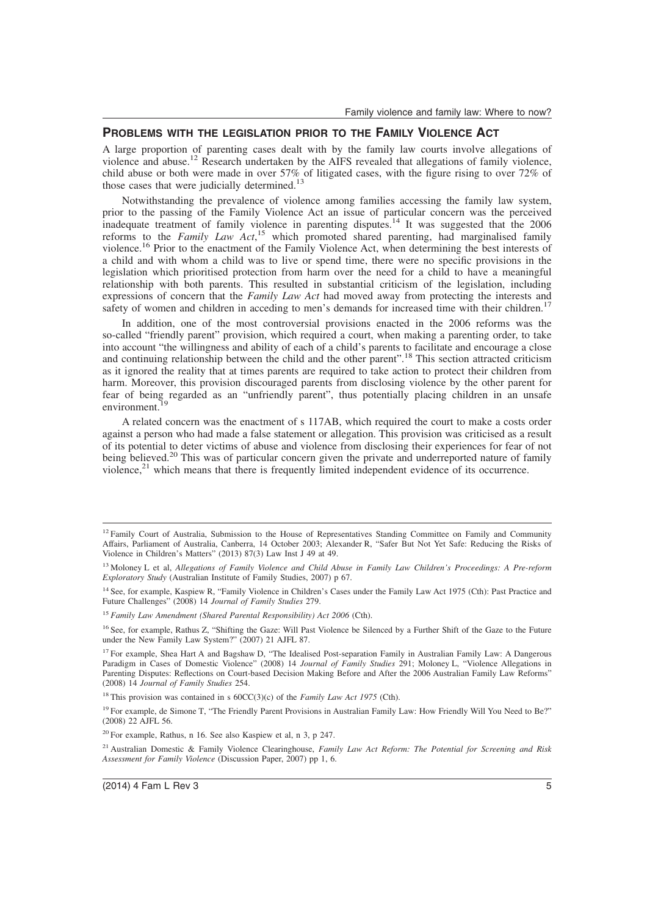# **PROBLEMS WITH THE LEGISLATION PRIOR TO THE FAMILY VIOLENCE ACT**

A large proportion of parenting cases dealt with by the family law courts involve allegations of violence and abuse.<sup>12</sup> Research undertaken by the AIFS revealed that allegations of family violence, child abuse or both were made in over 57% of litigated cases, with the figure rising to over 72% of those cases that were judicially determined.<sup>13</sup>

Notwithstanding the prevalence of violence among families accessing the family law system, prior to the passing of the Family Violence Act an issue of particular concern was the perceived inadequate treatment of family violence in parenting disputes.<sup>14</sup> It was suggested that the 2006 reforms to the *Family Law Act*, <sup>15</sup> which promoted shared parenting, had marginalised family violence.<sup>16</sup> Prior to the enactment of the Family Violence Act, when determining the best interests of a child and with whom a child was to live or spend time, there were no specific provisions in the legislation which prioritised protection from harm over the need for a child to have a meaningful relationship with both parents. This resulted in substantial criticism of the legislation, including expressions of concern that the *Family Law Act* had moved away from protecting the interests and safety of women and children in acceding to men's demands for increased time with their children.<sup>17</sup>

In addition, one of the most controversial provisions enacted in the 2006 reforms was the so-called "friendly parent" provision, which required a court, when making a parenting order, to take into account "the willingness and ability of each of a child's parents to facilitate and encourage a close and continuing relationship between the child and the other parent".<sup>18</sup> This section attracted criticism as it ignored the reality that at times parents are required to take action to protect their children from harm. Moreover, this provision discouraged parents from disclosing violence by the other parent for fear of being regarded as an "unfriendly parent", thus potentially placing children in an unsafe environment.<sup>19</sup>

A related concern was the enactment of s 117AB, which required the court to make a costs order against a person who had made a false statement or allegation. This provision was criticised as a result of its potential to deter victims of abuse and violence from disclosing their experiences for fear of not being believed.<sup>20</sup> This was of particular concern given the private and underreported nature of family violence, $2<sup>1</sup>$  which means that there is frequently limited independent evidence of its occurrence.

<sup>16</sup> See, for example, Rathus Z, "Shifting the Gaze: Will Past Violence be Silenced by a Further Shift of the Gaze to the Future under the New Family Law System?" (2007) 21 AJFL 87.

<sup>&</sup>lt;sup>12</sup> Family Court of Australia, Submission to the House of Representatives Standing Committee on Family and Community Affairs, Parliament of Australia, Canberra, 14 October 2003; Alexander R, "Safer But Not Yet Safe: Reducing the Risks of Violence in Children's Matters" (2013) 87(3) Law Inst J 49 at 49.

<sup>13</sup> Moloney L et al, *Allegations of Family Violence and Child Abuse in Family Law Children's Proceedings: A Pre-reform Exploratory Study* (Australian Institute of Family Studies, 2007) p 67.

<sup>&</sup>lt;sup>14</sup> See, for example, Kaspiew R, "Family Violence in Children's Cases under the Family Law Act 1975 (Cth): Past Practice and Future Challenges" (2008) 14 *Journal of Family Studies* 279.

<sup>15</sup> *Family Law Amendment (Shared Parental Responsibility) Act 2006* (Cth).

 $17$  For example, Shea Hart A and Bagshaw D, "The Idealised Post-separation Family in Australian Family Law: A Dangerous Paradigm in Cases of Domestic Violence" (2008) 14 *Journal of Family Studies* 291; Moloney L, "Violence Allegations in Parenting Disputes: Reflections on Court-based Decision Making Before and After the 2006 Australian Family Law Reforms" (2008) 14 *Journal of Family Studies* 254.

<sup>&</sup>lt;sup>18</sup> This provision was contained in s  $60CC(3)(c)$  of the *Family Law Act 1975* (Cth).

<sup>&</sup>lt;sup>19</sup> For example, de Simone T, "The Friendly Parent Provisions in Australian Family Law: How Friendly Will You Need to Be?" (2008) 22 AJFL 56.

<sup>20</sup> For example, Rathus, n 16. See also Kaspiew et al, n 3, p 247.

<sup>21</sup> Australian Domestic & Family Violence Clearinghouse, *Family Law Act Reform: The Potential for Screening and Risk Assessment for Family Violence* (Discussion Paper, 2007) pp 1, 6.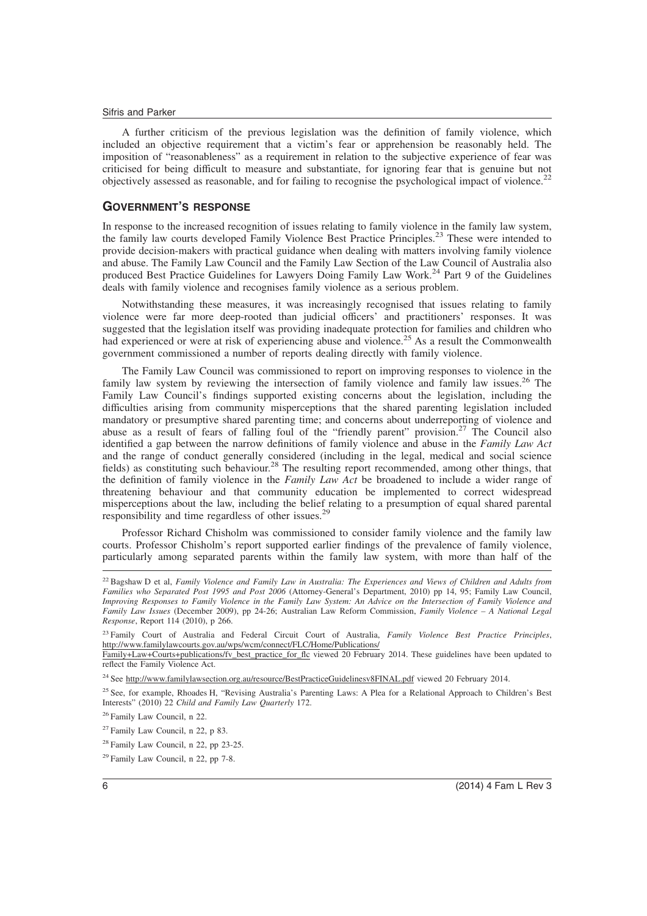A further criticism of the previous legislation was the definition of family violence, which included an objective requirement that a victim's fear or apprehension be reasonably held. The imposition of "reasonableness" as a requirement in relation to the subjective experience of fear was criticised for being difficult to measure and substantiate, for ignoring fear that is genuine but not objectively assessed as reasonable, and for failing to recognise the psychological impact of violence.<sup>22</sup>

## **GOVERNMENT'S RESPONSE**

In response to the increased recognition of issues relating to family violence in the family law system, the family law courts developed Family Violence Best Practice Principles.<sup>23</sup> These were intended to provide decision-makers with practical guidance when dealing with matters involving family violence and abuse. The Family Law Council and the Family Law Section of the Law Council of Australia also produced Best Practice Guidelines for Lawyers Doing Family Law Work.<sup>24</sup> Part 9 of the Guidelines deals with family violence and recognises family violence as a serious problem.

Notwithstanding these measures, it was increasingly recognised that issues relating to family violence were far more deep-rooted than judicial officers' and practitioners' responses. It was suggested that the legislation itself was providing inadequate protection for families and children who had experienced or were at risk of experiencing abuse and violence.<sup>25</sup> As a result the Commonwealth government commissioned a number of reports dealing directly with family violence.

The Family Law Council was commissioned to report on improving responses to violence in the family law system by reviewing the intersection of family violence and family law issues.<sup>26</sup> The Family Law Council's findings supported existing concerns about the legislation, including the difficulties arising from community misperceptions that the shared parenting legislation included mandatory or presumptive shared parenting time; and concerns about underreporting of violence and abuse as a result of fears of falling foul of the "friendly parent" provision.<sup>27</sup> The Council also identified a gap between the narrow definitions of family violence and abuse in the *Family Law Act* and the range of conduct generally considered (including in the legal, medical and social science fields) as constituting such behaviour.<sup>28</sup> The resulting report recommended, among other things, that the definition of family violence in the *Family Law Act* be broadened to include a wider range of threatening behaviour and that community education be implemented to correct widespread misperceptions about the law, including the belief relating to a presumption of equal shared parental responsibility and time regardless of other issues.<sup>29</sup>

Professor Richard Chisholm was commissioned to consider family violence and the family law courts. Professor Chisholm's report supported earlier findings of the prevalence of family violence, particularly among separated parents within the family law system, with more than half of the

<sup>22</sup> Bagshaw D et al, *Family Violence and Family Law in Australia: The Experiences and Views of Children and Adults from Families who Separated Post 1995 and Post 2006* (Attorney-General's Department, 2010) pp 14, 95; Family Law Council, *Improving Responses to Family Violence in the Family Law System: An Advice on the Intersection of Family Violence and Family Law Issues* (December 2009), pp 24-26; Australian Law Reform Commission, *Family Violence – A National Legal Response*, Report 114 (2010), p 266.

<sup>23</sup> Family Court of Australia and Federal Circuit Court of Australia, *Family Violence Best Practice Principles*, http://www.familylawcourts.gov.au/wps/wcm/connect/FLC/Home/Publications/

Family+Law+Courts+publications/fv\_best\_practice\_for\_flc viewed 20 February 2014. These guidelines have been updated to reflect the Family Violence Act.

<sup>&</sup>lt;sup>24</sup> See http://www.familylawsection.org.au/resource/BestPracticeGuidelinesv8FINAL.pdf viewed 20 February 2014.

<sup>&</sup>lt;sup>25</sup> See, for example, Rhoades H, "Revising Australia's Parenting Laws: A Plea for a Relational Approach to Children's Best Interests" (2010) 22 *Child and Family Law Quarterly* 172.

<sup>26</sup> Family Law Council, n 22.

 $27$  Family Law Council, n 22, p 83.

<sup>28</sup> Family Law Council, n 22, pp 23-25.

<sup>29</sup> Family Law Council, n 22, pp 7-8.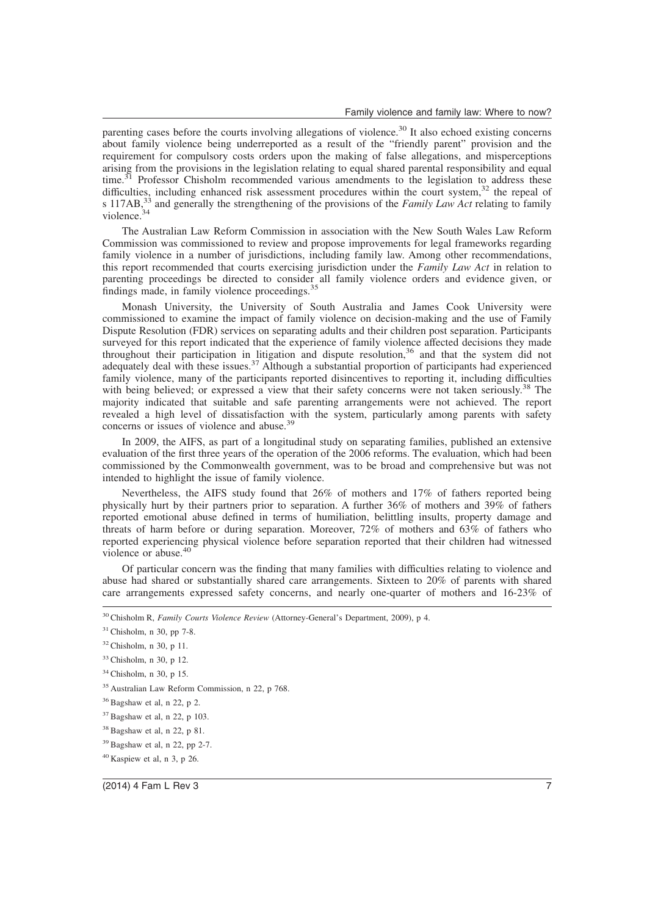parenting cases before the courts involving allegations of violence.<sup>30</sup> It also echoed existing concerns about family violence being underreported as a result of the "friendly parent" provision and the requirement for compulsory costs orders upon the making of false allegations, and misperceptions arising from the provisions in the legislation relating to equal shared parental responsibility and equal time.<sup>31</sup> Professor Chisholm recommended various amendments to the legislation to address these difficulties, including enhanced risk assessment procedures within the court system,<sup>32</sup> the repeal of s 117AB,<sup>33</sup> and generally the strengthening of the provisions of the *Family Law Act* relating to family violence.<sup>34</sup>

The Australian Law Reform Commission in association with the New South Wales Law Reform Commission was commissioned to review and propose improvements for legal frameworks regarding family violence in a number of jurisdictions, including family law. Among other recommendations, this report recommended that courts exercising jurisdiction under the *Family Law Act* in relation to parenting proceedings be directed to consider all family violence orders and evidence given, or findings made, in family violence proceedings.<sup>35</sup>

Monash University, the University of South Australia and James Cook University were commissioned to examine the impact of family violence on decision-making and the use of Family Dispute Resolution (FDR) services on separating adults and their children post separation. Participants surveyed for this report indicated that the experience of family violence affected decisions they made throughout their participation in litigation and dispute resolution,<sup>36</sup> and that the system did not adequately deal with these issues.<sup>37</sup> Although a substantial proportion of participants had experienced family violence, many of the participants reported disincentives to reporting it, including difficulties with being believed; or expressed a view that their safety concerns were not taken seriously.<sup>38</sup> The majority indicated that suitable and safe parenting arrangements were not achieved. The report revealed a high level of dissatisfaction with the system, particularly among parents with safety concerns or issues of violence and abuse.<sup>39</sup>

In 2009, the AIFS, as part of a longitudinal study on separating families, published an extensive evaluation of the first three years of the operation of the 2006 reforms. The evaluation, which had been commissioned by the Commonwealth government, was to be broad and comprehensive but was not intended to highlight the issue of family violence.

Nevertheless, the AIFS study found that 26% of mothers and 17% of fathers reported being physically hurt by their partners prior to separation. A further 36% of mothers and 39% of fathers reported emotional abuse defined in terms of humiliation, belittling insults, property damage and threats of harm before or during separation. Moreover, 72% of mothers and 63% of fathers who reported experiencing physical violence before separation reported that their children had witnessed violence or abuse.<sup>40</sup>

Of particular concern was the finding that many families with difficulties relating to violence and abuse had shared or substantially shared care arrangements. Sixteen to 20% of parents with shared care arrangements expressed safety concerns, and nearly one-quarter of mothers and 16-23% of

<sup>30</sup> Chisholm R, *Family Courts Violence Review* (Attorney-General's Department, 2009), p 4.

 $31$  Chisholm, n 30, pp 7-8.

<sup>32</sup> Chisholm, n 30, p 11.

<sup>33</sup> Chisholm, n 30, p 12.

<sup>34</sup> Chisholm, n 30, p 15.

<sup>35</sup> Australian Law Reform Commission, n 22, p 768.

 $36$  Bagshaw et al, n 22, p 2.

<sup>37</sup> Bagshaw et al, n 22, p 103.

<sup>38</sup> Bagshaw et al, n 22, p 81.

 $39$  Bagshaw et al, n 22, pp 2-7.

<sup>40</sup> Kaspiew et al, n 3, p 26.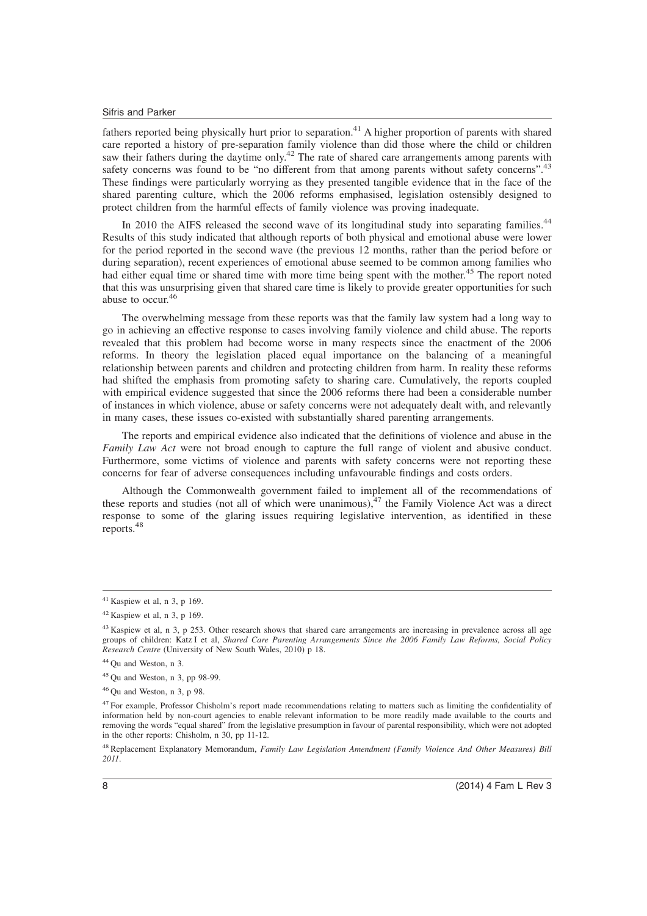fathers reported being physically hurt prior to separation.<sup>41</sup> A higher proportion of parents with shared care reported a history of pre-separation family violence than did those where the child or children saw their fathers during the daytime only.<sup>42</sup> The rate of shared care arrangements among parents with safety concerns was found to be "no different from that among parents without safety concerns".<sup>43</sup> These findings were particularly worrying as they presented tangible evidence that in the face of the shared parenting culture, which the 2006 reforms emphasised, legislation ostensibly designed to protect children from the harmful effects of family violence was proving inadequate.

In 2010 the AIFS released the second wave of its longitudinal study into separating families.<sup>44</sup> Results of this study indicated that although reports of both physical and emotional abuse were lower for the period reported in the second wave (the previous 12 months, rather than the period before or during separation), recent experiences of emotional abuse seemed to be common among families who had either equal time or shared time with more time being spent with the mother.<sup>45</sup> The report noted that this was unsurprising given that shared care time is likely to provide greater opportunities for such abuse to occur.<sup>46</sup>

The overwhelming message from these reports was that the family law system had a long way to go in achieving an effective response to cases involving family violence and child abuse. The reports revealed that this problem had become worse in many respects since the enactment of the 2006 reforms. In theory the legislation placed equal importance on the balancing of a meaningful relationship between parents and children and protecting children from harm. In reality these reforms had shifted the emphasis from promoting safety to sharing care. Cumulatively, the reports coupled with empirical evidence suggested that since the 2006 reforms there had been a considerable number of instances in which violence, abuse or safety concerns were not adequately dealt with, and relevantly in many cases, these issues co-existed with substantially shared parenting arrangements.

The reports and empirical evidence also indicated that the definitions of violence and abuse in the *Family Law Act* were not broad enough to capture the full range of violent and abusive conduct. Furthermore, some victims of violence and parents with safety concerns were not reporting these concerns for fear of adverse consequences including unfavourable findings and costs orders.

Although the Commonwealth government failed to implement all of the recommendations of these reports and studies (not all of which were unanimous), $47$  the Family Violence Act was a direct response to some of the glaring issues requiring legislative intervention, as identified in these reports.<sup>48</sup>

 $41$  Kaspiew et al, n 3, p 169.

 $42$  Kaspiew et al, n 3, p 169.

<sup>&</sup>lt;sup>43</sup> Kaspiew et al, n 3, p 253. Other research shows that shared care arrangements are increasing in prevalence across all age groups of children: Katz I et al, *Shared Care Parenting Arrangements Since the 2006 Family Law Reforms, Social Policy Research Centre* (University of New South Wales, 2010) p 18.

<sup>44</sup> Qu and Weston, n 3.

<sup>45</sup> Qu and Weston, n 3, pp 98-99.

<sup>46</sup> Qu and Weston, n 3, p 98.

<sup>&</sup>lt;sup>47</sup> For example, Professor Chisholm's report made recommendations relating to matters such as limiting the confidentiality of information held by non-court agencies to enable relevant information to be more readily made available to the courts and removing the words "equal shared" from the legislative presumption in favour of parental responsibility, which were not adopted in the other reports: Chisholm, n 30, pp 11-12.

<sup>48</sup> Replacement Explanatory Memorandum, *Family Law Legislation Amendment (Family Violence And Other Measures) Bill 2011*.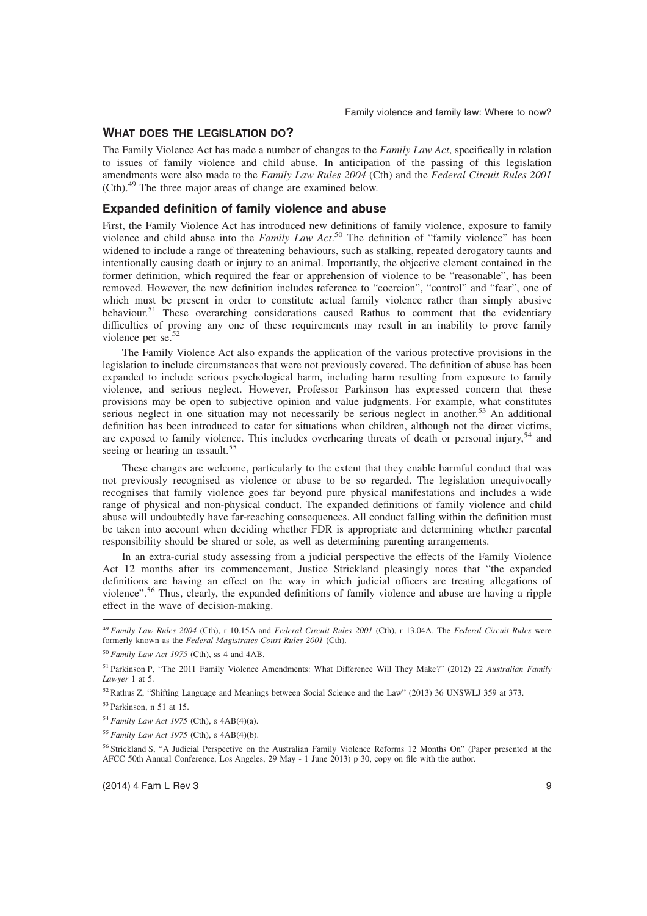# **WHAT DOES THE LEGISLATION DO?**

The Family Violence Act has made a number of changes to the *Family Law Act*, specifically in relation to issues of family violence and child abuse. In anticipation of the passing of this legislation amendments were also made to the *Family Law Rules 2004* (Cth) and the *Federal Circuit Rules 2001* (Cth).<sup>49</sup> The three major areas of change are examined below.

# **Expanded definition of family violence and abuse**

First, the Family Violence Act has introduced new definitions of family violence, exposure to family violence and child abuse into the *Family Law Act*. <sup>50</sup> The definition of "family violence" has been widened to include a range of threatening behaviours, such as stalking, repeated derogatory taunts and intentionally causing death or injury to an animal. Importantly, the objective element contained in the former definition, which required the fear or apprehension of violence to be "reasonable", has been removed. However, the new definition includes reference to "coercion", "control" and "fear", one of which must be present in order to constitute actual family violence rather than simply abusive behaviour.<sup>51</sup> These overarching considerations caused Rathus to comment that the evidentiary difficulties of proving any one of these requirements may result in an inability to prove family violence per se.<sup>52</sup>

The Family Violence Act also expands the application of the various protective provisions in the legislation to include circumstances that were not previously covered. The definition of abuse has been expanded to include serious psychological harm, including harm resulting from exposure to family violence, and serious neglect. However, Professor Parkinson has expressed concern that these provisions may be open to subjective opinion and value judgments. For example, what constitutes serious neglect in one situation may not necessarily be serious neglect in another.<sup>53</sup> An additional definition has been introduced to cater for situations when children, although not the direct victims, are exposed to family violence. This includes overhearing threats of death or personal injury,<sup>54</sup> and seeing or hearing an assault.<sup>55</sup>

These changes are welcome, particularly to the extent that they enable harmful conduct that was not previously recognised as violence or abuse to be so regarded. The legislation unequivocally recognises that family violence goes far beyond pure physical manifestations and includes a wide range of physical and non-physical conduct. The expanded definitions of family violence and child abuse will undoubtedly have far-reaching consequences. All conduct falling within the definition must be taken into account when deciding whether FDR is appropriate and determining whether parental responsibility should be shared or sole, as well as determining parenting arrangements.

In an extra-curial study assessing from a judicial perspective the effects of the Family Violence Act 12 months after its commencement, Justice Strickland pleasingly notes that "the expanded definitions are having an effect on the way in which judicial officers are treating allegations of violence".<sup>56</sup> Thus, clearly, the expanded definitions of family violence and abuse are having a ripple effect in the wave of decision-making.

<sup>49</sup> *Family Law Rules 2004* (Cth), r 10.15A and *Federal Circuit Rules 2001* (Cth), r 13.04A. The *Federal Circuit Rules* were formerly known as the *Federal Magistrates Court Rules 2001* (Cth).

<sup>50</sup> *Family Law Act 1975* (Cth), ss 4 and 4AB.

<sup>51</sup> Parkinson P, "The 2011 Family Violence Amendments: What Difference Will They Make?" (2012) 22 *Australian Family Lawyer* 1 at 5.

<sup>52</sup> Rathus Z, "Shifting Language and Meanings between Social Science and the Law" (2013) 36 UNSWLJ 359 at 373.

<sup>53</sup> Parkinson, n 51 at 15.

<sup>54</sup> *Family Law Act 1975* (Cth), s 4AB(4)(a).

<sup>55</sup> *Family Law Act 1975* (Cth), s 4AB(4)(b).

<sup>56</sup> Strickland S, "A Judicial Perspective on the Australian Family Violence Reforms 12 Months On" (Paper presented at the AFCC 50th Annual Conference, Los Angeles, 29 May - 1 June 2013) p 30, copy on file with the author.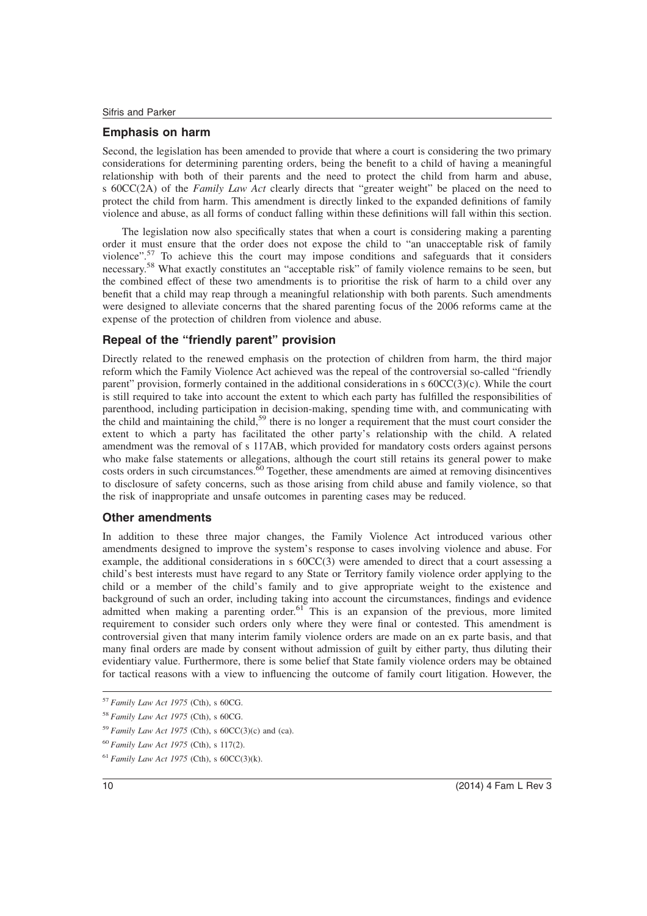## **Emphasis on harm**

Second, the legislation has been amended to provide that where a court is considering the two primary considerations for determining parenting orders, being the benefit to a child of having a meaningful relationship with both of their parents and the need to protect the child from harm and abuse, s 60CC(2A) of the *Family Law Act* clearly directs that "greater weight" be placed on the need to protect the child from harm. This amendment is directly linked to the expanded definitions of family violence and abuse, as all forms of conduct falling within these definitions will fall within this section.

The legislation now also specifically states that when a court is considering making a parenting order it must ensure that the order does not expose the child to "an unacceptable risk of family violence".<sup>57</sup> To achieve this the court may impose conditions and safeguards that it considers necessary.<sup>58</sup> What exactly constitutes an "acceptable risk" of family violence remains to be seen, but the combined effect of these two amendments is to prioritise the risk of harm to a child over any benefit that a child may reap through a meaningful relationship with both parents. Such amendments were designed to alleviate concerns that the shared parenting focus of the 2006 reforms came at the expense of the protection of children from violence and abuse.

# **Repeal of the "friendly parent" provision**

Directly related to the renewed emphasis on the protection of children from harm, the third major reform which the Family Violence Act achieved was the repeal of the controversial so-called "friendly parent" provision, formerly contained in the additional considerations in s 60CC(3)(c). While the court is still required to take into account the extent to which each party has fulfilled the responsibilities of parenthood, including participation in decision-making, spending time with, and communicating with the child and maintaining the child,<sup>59</sup> there is no longer a requirement that the must court consider the extent to which a party has facilitated the other party's relationship with the child. A related amendment was the removal of s 117AB, which provided for mandatory costs orders against persons who make false statements or allegations, although the court still retains its general power to make costs orders in such circumstances.<sup>60</sup> Together, these amendments are aimed at removing disincentives to disclosure of safety concerns, such as those arising from child abuse and family violence, so that the risk of inappropriate and unsafe outcomes in parenting cases may be reduced.

## **Other amendments**

In addition to these three major changes, the Family Violence Act introduced various other amendments designed to improve the system's response to cases involving violence and abuse. For example, the additional considerations in s 60CC(3) were amended to direct that a court assessing a child's best interests must have regard to any State or Territory family violence order applying to the child or a member of the child's family and to give appropriate weight to the existence and background of such an order, including taking into account the circumstances, findings and evidence admitted when making a parenting order.<sup>61</sup> This is an expansion of the previous, more limited requirement to consider such orders only where they were final or contested. This amendment is controversial given that many interim family violence orders are made on an ex parte basis, and that many final orders are made by consent without admission of guilt by either party, thus diluting their evidentiary value. Furthermore, there is some belief that State family violence orders may be obtained for tactical reasons with a view to influencing the outcome of family court litigation. However, the

<sup>57</sup> *Family Law Act 1975* (Cth), s 60CG.

<sup>58</sup> *Family Law Act 1975* (Cth), s 60CG.

 $59$  *Family Law Act 1975* (Cth), s  $60CC(3)$ (c) and (ca).

<sup>60</sup> *Family Law Act 1975* (Cth), s 117(2).

 $61$  *Family Law Act 1975* (Cth), s  $60CC(3)$ (k).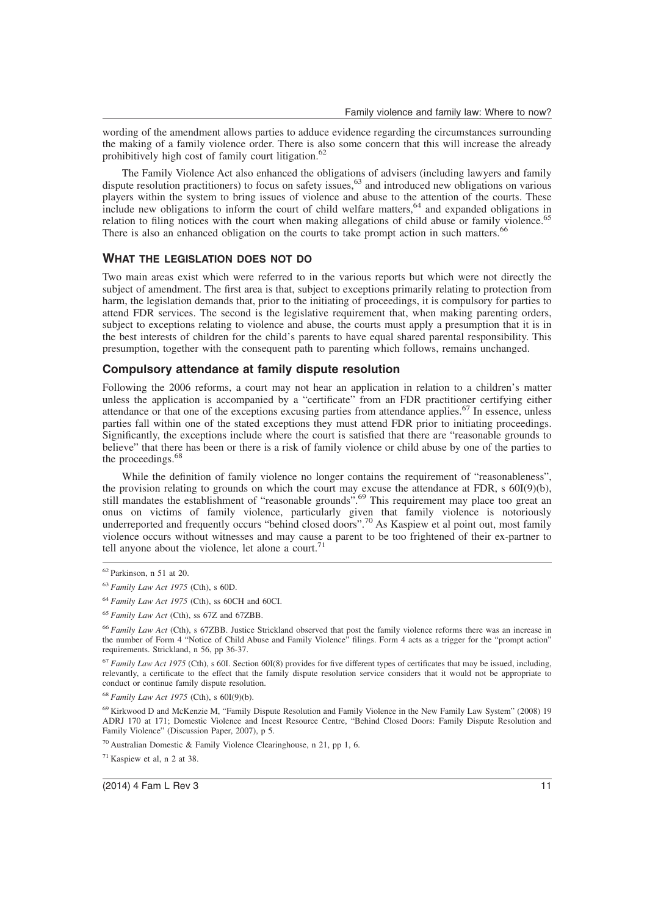wording of the amendment allows parties to adduce evidence regarding the circumstances surrounding the making of a family violence order. There is also some concern that this will increase the already prohibitively high cost of family court litigation.<sup>62</sup>

The Family Violence Act also enhanced the obligations of advisers (including lawyers and family dispute resolution practitioners) to focus on safety issues,<sup>63</sup> and introduced new obligations on various players within the system to bring issues of violence and abuse to the attention of the courts. These include new obligations to inform the court of child welfare matters,<sup>64</sup> and expanded obligations in relation to filing notices with the court when making allegations of child abuse or family violence.<sup>65</sup> There is also an enhanced obligation on the courts to take prompt action in such matters.

### **WHAT THE LEGISLATION DOES NOT DO**

Two main areas exist which were referred to in the various reports but which were not directly the subject of amendment. The first area is that, subject to exceptions primarily relating to protection from harm, the legislation demands that, prior to the initiating of proceedings, it is compulsory for parties to attend FDR services. The second is the legislative requirement that, when making parenting orders, subject to exceptions relating to violence and abuse, the courts must apply a presumption that it is in the best interests of children for the child's parents to have equal shared parental responsibility. This presumption, together with the consequent path to parenting which follows, remains unchanged.

### **Compulsory attendance at family dispute resolution**

Following the 2006 reforms, a court may not hear an application in relation to a children's matter unless the application is accompanied by a "certificate" from an FDR practitioner certifying either attendance or that one of the exceptions excusing parties from attendance applies.<sup>67</sup> In essence, unless parties fall within one of the stated exceptions they must attend FDR prior to initiating proceedings. Significantly, the exceptions include where the court is satisfied that there are "reasonable grounds to believe" that there has been or there is a risk of family violence or child abuse by one of the parties to the proceedings.<sup>68</sup>

While the definition of family violence no longer contains the requirement of "reasonableness", the provision relating to grounds on which the court may excuse the attendance at FDR, s 60I(9)(b), still mandates the establishment of "reasonable grounds".<sup>69</sup> This requirement may place too great an onus on victims of family violence, particularly given that family violence is notoriously underreported and frequently occurs "behind closed doors".<sup>70</sup> As Kaspiew et al point out, most family violence occurs without witnesses and may cause a parent to be too frightened of their ex-partner to tell anyone about the violence, let alone a court.<sup>71</sup>

<sup>62</sup> Parkinson, n 51 at 20.

<sup>63</sup> *Family Law Act 1975* (Cth), s 60D.

<sup>64</sup> *Family Law Act 1975* (Cth), ss 60CH and 60CI.

<sup>65</sup> *Family Law Act* (Cth), ss 67Z and 67ZBB.

<sup>66</sup> *Family Law Act* (Cth), s 67ZBB. Justice Strickland observed that post the family violence reforms there was an increase in the number of Form 4 "Notice of Child Abuse and Family Violence" filings. Form 4 acts as a trigger for the "prompt action" requirements. Strickland, n 56, pp 36-37.

<sup>67</sup> *Family Law Act 1975* (Cth), s 60I. Section 60I(8) provides for five different types of certificates that may be issued, including, relevantly, a certificate to the effect that the family dispute resolution service considers that it would not be appropriate to conduct or continue family dispute resolution.

<sup>68</sup> *Family Law Act 1975* (Cth), s 60I(9)(b).

<sup>69</sup> Kirkwood D and McKenzie M, "Family Dispute Resolution and Family Violence in the New Family Law System" (2008) 19 ADRJ 170 at 171; Domestic Violence and Incest Resource Centre, "Behind Closed Doors: Family Dispute Resolution and Family Violence" (Discussion Paper, 2007), p 5.

<sup>70</sup> Australian Domestic & Family Violence Clearinghouse, n 21, pp 1, 6.

<sup>71</sup> Kaspiew et al, n 2 at 38.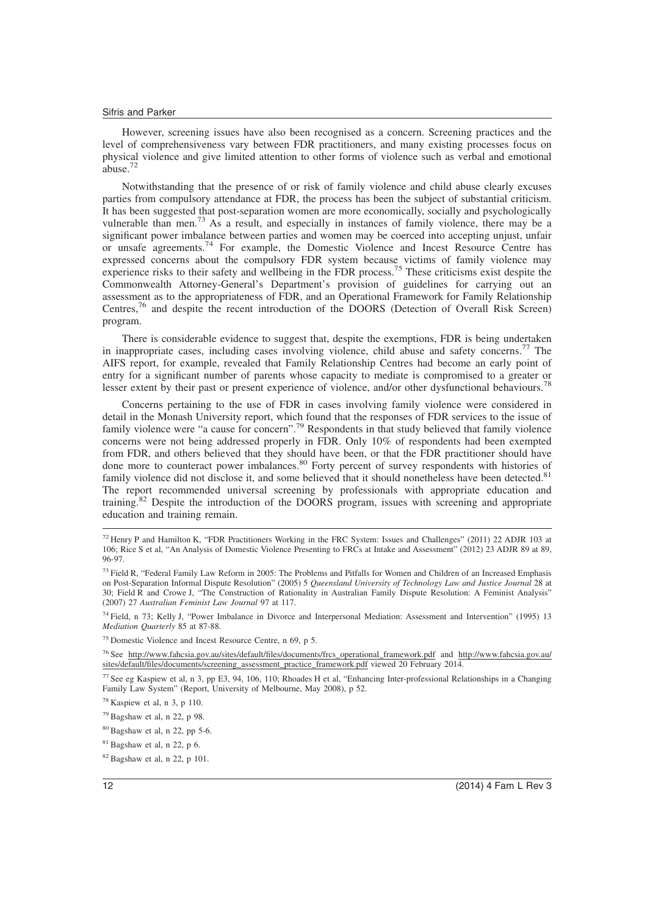However, screening issues have also been recognised as a concern. Screening practices and the level of comprehensiveness vary between FDR practitioners, and many existing processes focus on physical violence and give limited attention to other forms of violence such as verbal and emotional abuse.<sup>72</sup>

Notwithstanding that the presence of or risk of family violence and child abuse clearly excuses parties from compulsory attendance at FDR, the process has been the subject of substantial criticism. It has been suggested that post-separation women are more economically, socially and psychologically vulnerable than men.<sup>73</sup> As a result, and especially in instances of family violence, there may be a significant power imbalance between parties and women may be coerced into accepting unjust, unfair or unsafe agreements.<sup>74</sup> For example, the Domestic Violence and Incest Resource Centre has expressed concerns about the compulsory FDR system because victims of family violence may experience risks to their safety and wellbeing in the FDR process.<sup>75</sup> These criticisms exist despite the Commonwealth Attorney-General's Department's provision of guidelines for carrying out an assessment as to the appropriateness of FDR, and an Operational Framework for Family Relationship Centres,<sup>76</sup> and despite the recent introduction of the DOORS (Detection of Overall Risk Screen) program.

There is considerable evidence to suggest that, despite the exemptions, FDR is being undertaken in inappropriate cases, including cases involving violence, child abuse and safety concerns.<sup>77</sup> The AIFS report, for example, revealed that Family Relationship Centres had become an early point of entry for a significant number of parents whose capacity to mediate is compromised to a greater or lesser extent by their past or present experience of violence, and/or other dysfunctional behaviours.<sup>78</sup>

Concerns pertaining to the use of FDR in cases involving family violence were considered in detail in the Monash University report, which found that the responses of FDR services to the issue of family violence were "a cause for concern".<sup>79</sup> Respondents in that study believed that family violence concerns were not being addressed properly in FDR. Only 10% of respondents had been exempted from FDR, and others believed that they should have been, or that the FDR practitioner should have done more to counteract power imbalances.<sup>80</sup> Forty percent of survey respondents with histories of family violence did not disclose it, and some believed that it should nonetheless have been detected.<sup>81</sup> The report recommended universal screening by professionals with appropriate education and training.<sup>82</sup> Despite the introduction of the DOORS program, issues with screening and appropriate education and training remain.

<sup>75</sup> Domestic Violence and Incest Resource Centre, n 69, p 5.

<sup>76</sup> See http://www.fahcsia.gov.au/sites/default/files/documents/frcs\_operational\_framework.pdf and http://www.fahcsia.gov.au/ sites/default/files/documents/screening\_assessment\_practice\_framework.pdf viewed 20 February 2014.

<sup>77</sup> See eg Kaspiew et al, n 3, pp E3, 94, 106, 110; Rhoades H et al, "Enhancing Inter-professional Relationships in a Changing Family Law System" (Report, University of Melbourne, May 2008), p 52.

<sup>72</sup> Henry P and Hamilton K, "FDR Practitioners Working in the FRC System: Issues and Challenges" (2011) 22 ADJR 103 at 106; Rice S et al, "An Analysis of Domestic Violence Presenting to FRCs at Intake and Assessment" (2012) 23 ADJR 89 at 89, 96-97.

<sup>&</sup>lt;sup>73</sup> Field R, "Federal Family Law Reform in 2005: The Problems and Pitfalls for Women and Children of an Increased Emphasis on Post-Separation Informal Dispute Resolution" (2005) 5 *Queensland University of Technology Law and Justice Journal* 28 at 30; Field R and Crowe J, "The Construction of Rationality in Australian Family Dispute Resolution: A Feminist Analysis" (2007) 27 *Australian Feminist Law Journal* 97 at 117.

<sup>74</sup> Field, n 73; Kelly J, "Power Imbalance in Divorce and Interpersonal Mediation: Assessment and Intervention" (1995) 13 *Mediation Quarterly* 85 at 87-88.

<sup>78</sup> Kaspiew et al, n 3, p 110.

<sup>79</sup> Bagshaw et al, n 22, p 98.

 $80$  Bagshaw et al, n 22, pp 5-6.

 $81$  Bagshaw et al, n 22, p 6.

<sup>82</sup> Bagshaw et al, n 22, p 101.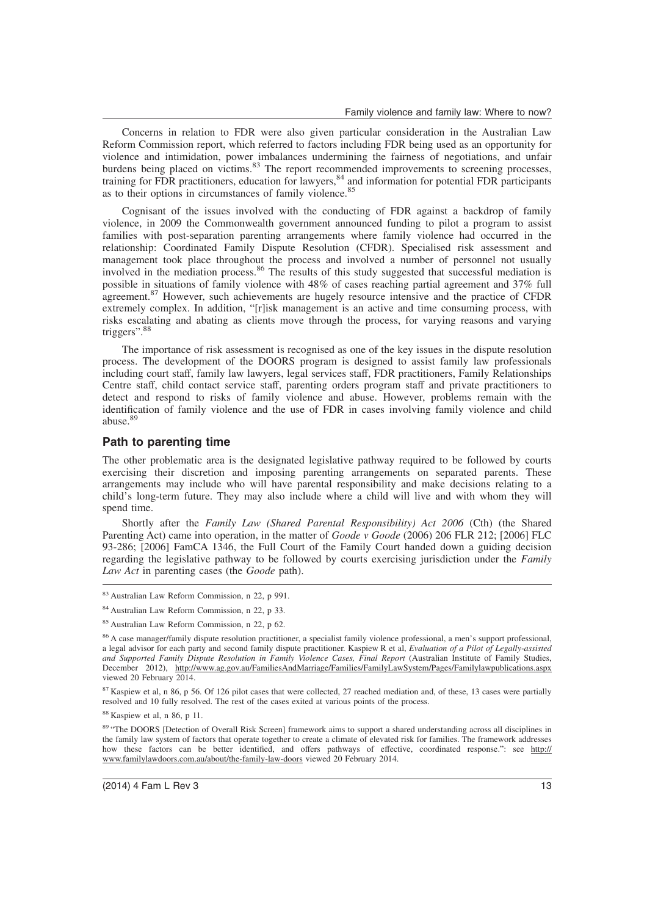Concerns in relation to FDR were also given particular consideration in the Australian Law Reform Commission report, which referred to factors including FDR being used as an opportunity for violence and intimidation, power imbalances undermining the fairness of negotiations, and unfair burdens being placed on victims.<sup>83</sup> The report recommended improvements to screening processes, training for FDR practitioners, education for lawyers,<sup>84</sup> and information for potential FDR participants as to their options in circumstances of family violence.<sup>85</sup>

Cognisant of the issues involved with the conducting of FDR against a backdrop of family violence, in 2009 the Commonwealth government announced funding to pilot a program to assist families with post-separation parenting arrangements where family violence had occurred in the relationship: Coordinated Family Dispute Resolution (CFDR). Specialised risk assessment and management took place throughout the process and involved a number of personnel not usually involved in the mediation process.<sup>86</sup> The results of this study suggested that successful mediation is possible in situations of family violence with 48% of cases reaching partial agreement and 37% full agreement.<sup>87</sup> However, such achievements are hugely resource intensive and the practice of CFDR extremely complex. In addition, "[r]isk management is an active and time consuming process, with risks escalating and abating as clients move through the process, for varying reasons and varying triggers".<sup>88</sup>

The importance of risk assessment is recognised as one of the key issues in the dispute resolution process. The development of the DOORS program is designed to assist family law professionals including court staff, family law lawyers, legal services staff, FDR practitioners, Family Relationships Centre staff, child contact service staff, parenting orders program staff and private practitioners to detect and respond to risks of family violence and abuse. However, problems remain with the identification of family violence and the use of FDR in cases involving family violence and child abuse.<sup>89</sup>

#### **Path to parenting time**

The other problematic area is the designated legislative pathway required to be followed by courts exercising their discretion and imposing parenting arrangements on separated parents. These arrangements may include who will have parental responsibility and make decisions relating to a child's long-term future. They may also include where a child will live and with whom they will spend time.

Shortly after the *Family Law (Shared Parental Responsibility) Act 2006* (Cth) (the Shared Parenting Act) came into operation, in the matter of *Goode v Goode* (2006) 206 FLR 212; [2006] FLC 93-286; [2006] FamCA 1346, the Full Court of the Family Court handed down a guiding decision regarding the legislative pathway to be followed by courts exercising jurisdiction under the *Family Law Act* in parenting cases (the *Goode* path).

<sup>87</sup> Kaspiew et al, n 86, p 56. Of 126 pilot cases that were collected, 27 reached mediation and, of these, 13 cases were partially resolved and 10 fully resolved. The rest of the cases exited at various points of the process.

<sup>88</sup> Kaspiew et al, n 86, p 11.

89 "The DOORS [Detection of Overall Risk Screen] framework aims to support a shared understanding across all disciplines in the family law system of factors that operate together to create a climate of elevated risk for families. The framework addresses how these factors can be better identified, and offers pathways of effective, coordinated response.": see http:// www.familylawdoors.com.au/about/the-family-law-doors viewed 20 February 2014.

<sup>83</sup> Australian Law Reform Commission, n 22, p 991.

<sup>84</sup> Australian Law Reform Commission, n 22, p 33.

<sup>85</sup> Australian Law Reform Commission, n 22, p 62.

<sup>86</sup> A case manager/family dispute resolution practitioner, a specialist family violence professional, a men's support professional, a legal advisor for each party and second family dispute practitioner. Kaspiew R et al, *Evaluation of a Pilot of Legally-assisted and Supported Family Dispute Resolution in Family Violence Cases, Final Report* (Australian Institute of Family Studies, December 2012), http://www.ag.gov.au/FamiliesAndMarriage/Families/FamilyLawSystem/Pages/Familylawpublications.aspx viewed 20 February 2014.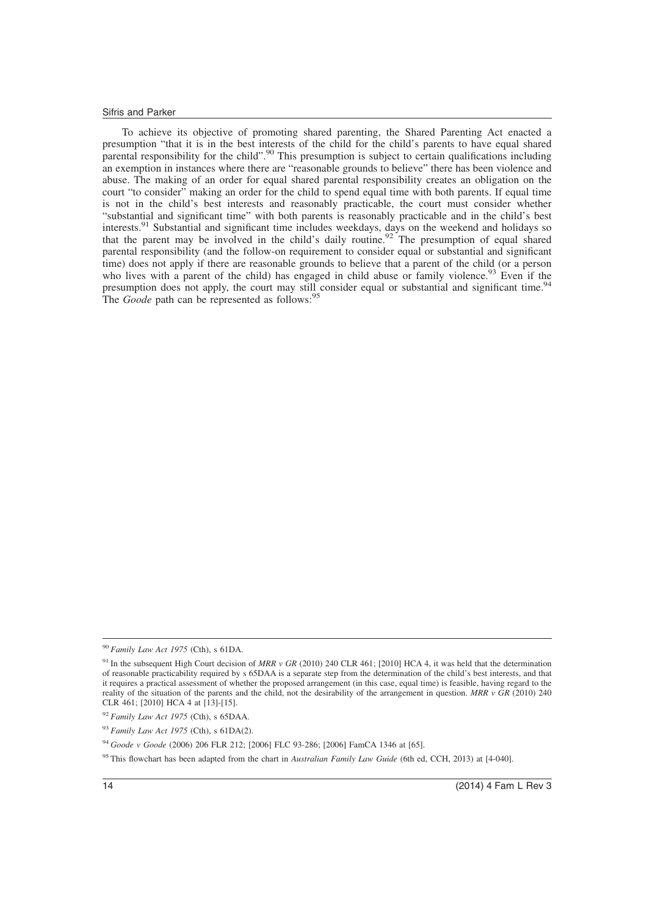To achieve its objective of promoting shared parenting, the Shared Parenting Act enacted a presumption "that it is in the best interests of the child for the child's parents to have equal shared parental responsibility for the child".<sup>90</sup> This presumption is subject to certain qualifications including an exemption in instances where there are "reasonable grounds to believe" there has been violence and abuse. The making of an order for equal shared parental responsibility creates an obligation on the court "to consider" making an order for the child to spend equal time with both parents. If equal time is not in the child's best interests and reasonably practicable, the court must consider whether "substantial and significant time" with both parents is reasonably practicable and in the child's best interests.<sup>91</sup> Substantial and significant time includes weekdays, days on the weekend and holidays so that the parent may be involved in the child's daily routine.<sup>92</sup> The presumption of equal shared parental responsibility (and the follow-on requirement to consider equal or substantial and significant time) does not apply if there are reasonable grounds to believe that a parent of the child (or a person who lives with a parent of the child) has engaged in child abuse or family violence.<sup>93</sup> Even if the presumption does not apply, the court may still consider equal or substantial and significant time.<sup>9</sup> The *Goode* path can be represented as follows:<sup>9</sup>

<sup>90</sup> *Family Law Act 1975* (Cth), s 61DA.

<sup>&</sup>lt;sup>91</sup> In the subsequent High Court decision of MRR v GR (2010) 240 CLR 461; [2010] HCA 4, it was held that the determination of reasonable practicability required by s 65DAA is a separate step from the determination of the child's best interests, and that it requires a practical assessment of whether the proposed arrangement (in this case, equal time) is feasible, having regard to the reality of the situation of the parents and the child, not the desirability of the arrangement in question. *MRR v GR* (2010) 240 CLR 461; [2010] HCA 4 at [13]-[15].

<sup>92</sup> *Family Law Act 1975* (Cth), s 65DAA.

<sup>93</sup> *Family Law Act 1975* (Cth), s 61DA(2).

<sup>94</sup> *Goode v Goode* (2006) 206 FLR 212; [2006] FLC 93-286; [2006] FamCA 1346 at [65].

<sup>95</sup> This flowchart has been adapted from the chart in *Australian Family Law Guide* (6th ed, CCH, 2013) at [4-040].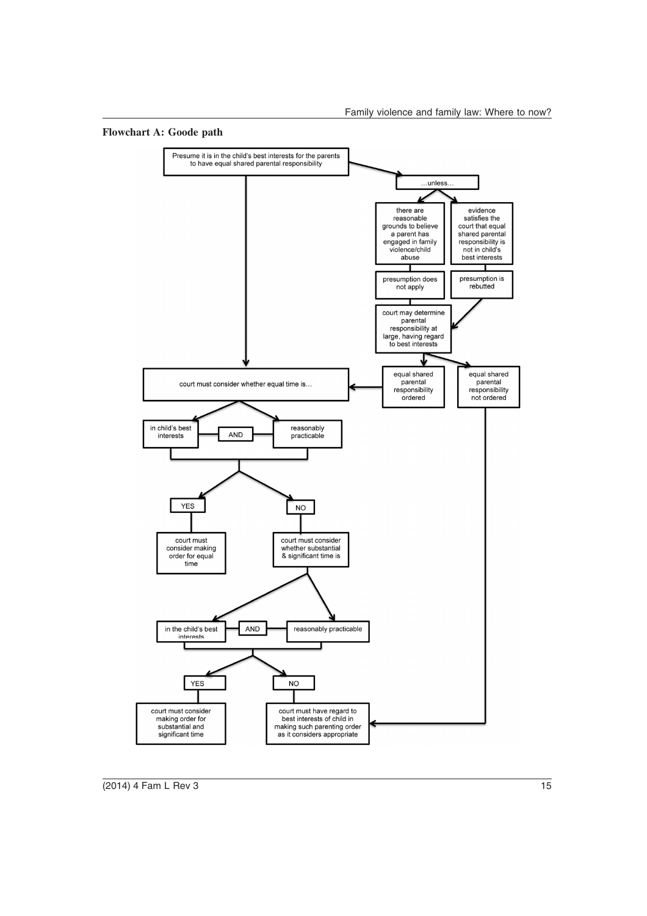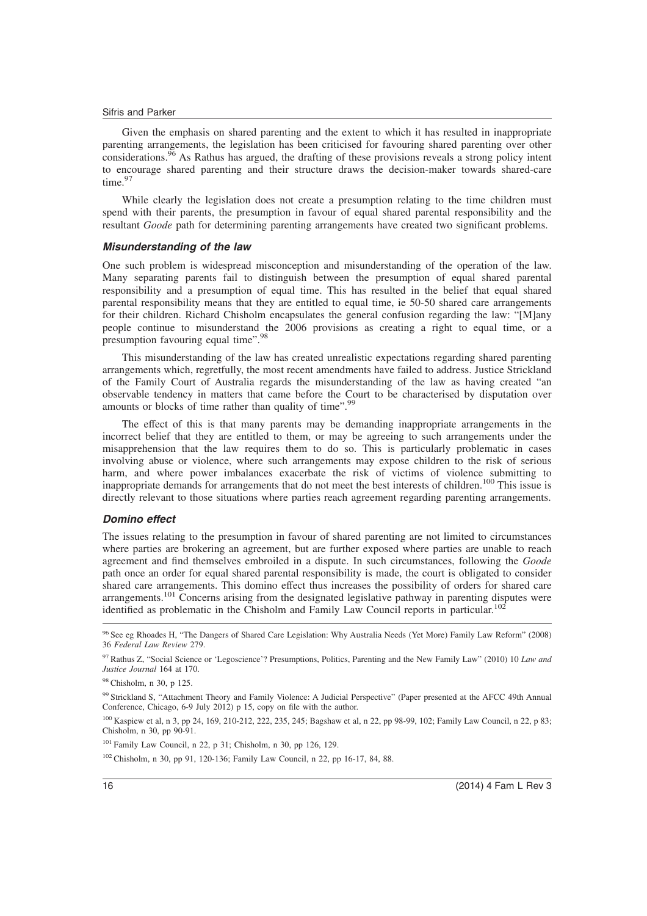Given the emphasis on shared parenting and the extent to which it has resulted in inappropriate parenting arrangements, the legislation has been criticised for favouring shared parenting over other considerations.<sup>96</sup> As Rathus has argued, the drafting of these provisions reveals a strong policy intent to encourage shared parenting and their structure draws the decision-maker towards shared-care time.<sup>97</sup>

While clearly the legislation does not create a presumption relating to the time children must spend with their parents, the presumption in favour of equal shared parental responsibility and the resultant *Goode* path for determining parenting arrangements have created two significant problems.

## **Misunderstanding of the law**

One such problem is widespread misconception and misunderstanding of the operation of the law. Many separating parents fail to distinguish between the presumption of equal shared parental responsibility and a presumption of equal time. This has resulted in the belief that equal shared parental responsibility means that they are entitled to equal time, ie 50-50 shared care arrangements for their children. Richard Chisholm encapsulates the general confusion regarding the law: "[M]any people continue to misunderstand the 2006 provisions as creating a right to equal time, or a presumption favouring equal time".<sup>98</sup>

This misunderstanding of the law has created unrealistic expectations regarding shared parenting arrangements which, regretfully, the most recent amendments have failed to address. Justice Strickland of the Family Court of Australia regards the misunderstanding of the law as having created "an observable tendency in matters that came before the Court to be characterised by disputation over amounts or blocks of time rather than quality of time".<sup>99</sup>

The effect of this is that many parents may be demanding inappropriate arrangements in the incorrect belief that they are entitled to them, or may be agreeing to such arrangements under the misapprehension that the law requires them to do so. This is particularly problematic in cases involving abuse or violence, where such arrangements may expose children to the risk of serious harm, and where power imbalances exacerbate the risk of victims of violence submitting to inappropriate demands for arrangements that do not meet the best interests of children.<sup>100</sup> This issue is directly relevant to those situations where parties reach agreement regarding parenting arrangements.

## **Domino effect**

The issues relating to the presumption in favour of shared parenting are not limited to circumstances where parties are brokering an agreement, but are further exposed where parties are unable to reach agreement and find themselves embroiled in a dispute. In such circumstances, following the *Goode* path once an order for equal shared parental responsibility is made, the court is obligated to consider shared care arrangements. This domino effect thus increases the possibility of orders for shared care arrangements.<sup>101</sup> Concerns arising from the designated legislative pathway in parenting disputes were identified as problematic in the Chisholm and Family Law Council reports in particular.<sup>102</sup>

<sup>98</sup> Chisholm, n 30, p 125.

<sup>101</sup> Family Law Council, n 22, p 31; Chisholm, n 30, pp 126, 129.

<sup>102</sup> Chisholm, n 30, pp 91, 120-136; Family Law Council, n 22, pp 16-17, 84, 88.

<sup>96</sup> See eg Rhoades H, "The Dangers of Shared Care Legislation: Why Australia Needs (Yet More) Family Law Reform" (2008) 36 *Federal Law Review* 279.

<sup>97</sup> Rathus Z, "Social Science or 'Legoscience'? Presumptions, Politics, Parenting and the New Family Law" (2010) 10 *Law and Justice Journal* 164 at 170.

<sup>99</sup> Strickland S, "Attachment Theory and Family Violence: A Judicial Perspective" (Paper presented at the AFCC 49th Annual Conference, Chicago, 6-9 July 2012) p 15, copy on file with the author.

<sup>100</sup> Kaspiew et al, n 3, pp 24, 169, 210-212, 222, 235, 245; Bagshaw et al, n 22, pp 98-99, 102; Family Law Council, n 22, p 83; Chisholm, n 30, pp 90-91.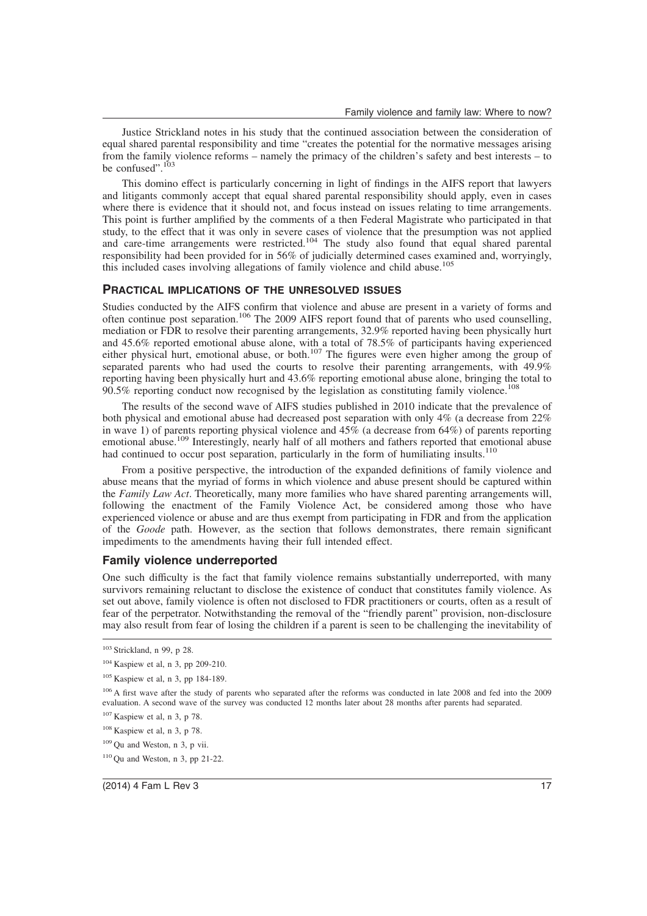Justice Strickland notes in his study that the continued association between the consideration of equal shared parental responsibility and time "creates the potential for the normative messages arising from the family violence reforms – namely the primacy of the children's safety and best interests – to be confused". $1$ 

This domino effect is particularly concerning in light of findings in the AIFS report that lawyers and litigants commonly accept that equal shared parental responsibility should apply, even in cases where there is evidence that it should not, and focus instead on issues relating to time arrangements. This point is further amplified by the comments of a then Federal Magistrate who participated in that study, to the effect that it was only in severe cases of violence that the presumption was not applied and care-time arrangements were restricted.<sup>104</sup> The study also found that equal shared parental responsibility had been provided for in 56% of judicially determined cases examined and, worryingly, this included cases involving allegations of family violence and child abuse.<sup>105</sup>

### **PRACTICAL IMPLICATIONS OF THE UNRESOLVED ISSUES**

Studies conducted by the AIFS confirm that violence and abuse are present in a variety of forms and often continue post separation.<sup>106</sup> The 2009 AIFS report found that of parents who used counselling, mediation or FDR to resolve their parenting arrangements, 32.9% reported having been physically hurt and 45.6% reported emotional abuse alone, with a total of 78.5% of participants having experienced either physical hurt, emotional abuse, or both.<sup>107</sup> The figures were even higher among the group of separated parents who had used the courts to resolve their parenting arrangements, with 49.9% reporting having been physically hurt and 43.6% reporting emotional abuse alone, bringing the total to  $90.5\%$  reporting conduct now recognised by the legislation as constituting family violence.<sup>108</sup>

The results of the second wave of AIFS studies published in 2010 indicate that the prevalence of both physical and emotional abuse had decreased post separation with only 4% (a decrease from 22% in wave 1) of parents reporting physical violence and  $45\%$  (a decrease from  $64\%$ ) of parents reporting emotional abuse.<sup>109</sup> Interestingly, nearly half of all mothers and fathers reported that emotional abuse had continued to occur post separation, particularly in the form of humiliating insults.<sup>110</sup>

From a positive perspective, the introduction of the expanded definitions of family violence and abuse means that the myriad of forms in which violence and abuse present should be captured within the *Family Law Act*. Theoretically, many more families who have shared parenting arrangements will, following the enactment of the Family Violence Act, be considered among those who have experienced violence or abuse and are thus exempt from participating in FDR and from the application of the *Goode* path. However, as the section that follows demonstrates, there remain significant impediments to the amendments having their full intended effect.

#### **Family violence underreported**

One such difficulty is the fact that family violence remains substantially underreported, with many survivors remaining reluctant to disclose the existence of conduct that constitutes family violence. As set out above, family violence is often not disclosed to FDR practitioners or courts, often as a result of fear of the perpetrator. Notwithstanding the removal of the "friendly parent" provision, non-disclosure may also result from fear of losing the children if a parent is seen to be challenging the inevitability of

<sup>103</sup> Strickland, n 99, p 28.

<sup>104</sup> Kaspiew et al, n 3, pp 209-210.

<sup>105</sup> Kaspiew et al, n 3, pp 184-189.

<sup>&</sup>lt;sup>106</sup> A first wave after the study of parents who separated after the reforms was conducted in late 2008 and fed into the 2009 evaluation. A second wave of the survey was conducted 12 months later about 28 months after parents had separated.

<sup>107</sup> Kaspiew et al, n 3, p 78.

 $108$  Kaspiew et al, n 3, p 78.

<sup>109</sup> Qu and Weston, n 3, p vii.

 $110$  Qu and Weston, n 3, pp 21-22.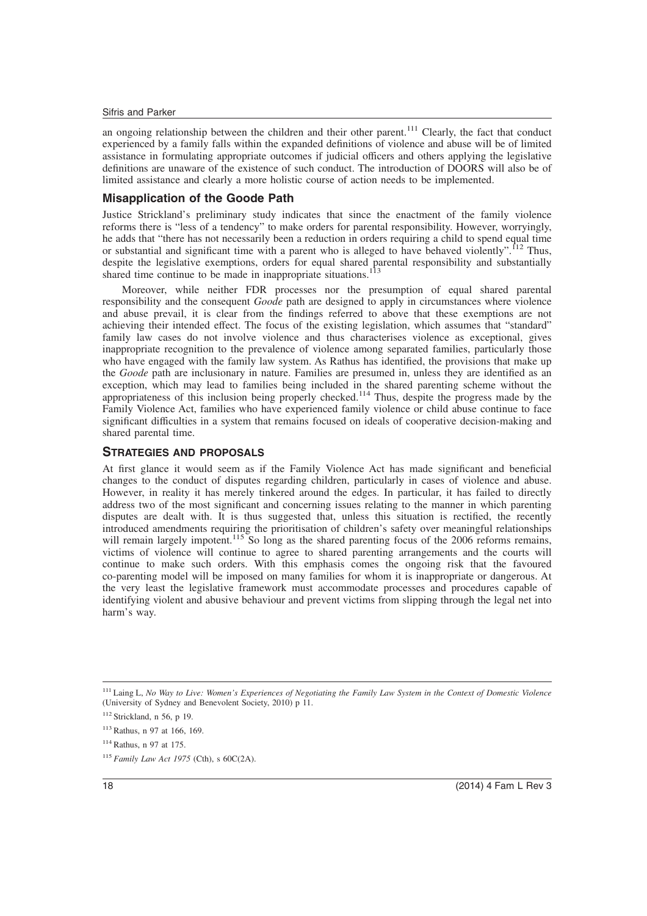an ongoing relationship between the children and their other parent.<sup>111</sup> Clearly, the fact that conduct experienced by a family falls within the expanded definitions of violence and abuse will be of limited assistance in formulating appropriate outcomes if judicial officers and others applying the legislative definitions are unaware of the existence of such conduct. The introduction of DOORS will also be of limited assistance and clearly a more holistic course of action needs to be implemented.

## **Misapplication of the Goode Path**

Justice Strickland's preliminary study indicates that since the enactment of the family violence reforms there is "less of a tendency" to make orders for parental responsibility. However, worryingly, he adds that "there has not necessarily been a reduction in orders requiring a child to spend equal time or substantial and significant time with a parent who is alleged to have behaved violently".<sup>112</sup> Thus, despite the legislative exemptions, orders for equal shared parental responsibility and substantially shared time continue to be made in inappropriate situations.<sup>113</sup>

Moreover, while neither FDR processes nor the presumption of equal shared parental responsibility and the consequent *Goode* path are designed to apply in circumstances where violence and abuse prevail, it is clear from the findings referred to above that these exemptions are not achieving their intended effect. The focus of the existing legislation, which assumes that "standard" family law cases do not involve violence and thus characterises violence as exceptional, gives inappropriate recognition to the prevalence of violence among separated families, particularly those who have engaged with the family law system. As Rathus has identified, the provisions that make up the *Goode* path are inclusionary in nature. Families are presumed in, unless they are identified as an exception, which may lead to families being included in the shared parenting scheme without the appropriateness of this inclusion being properly checked.<sup>114</sup> Thus, despite the progress made by the Family Violence Act, families who have experienced family violence or child abuse continue to face significant difficulties in a system that remains focused on ideals of cooperative decision-making and shared parental time.

## **STRATEGIES AND PROPOSALS**

At first glance it would seem as if the Family Violence Act has made significant and beneficial changes to the conduct of disputes regarding children, particularly in cases of violence and abuse. However, in reality it has merely tinkered around the edges. In particular, it has failed to directly address two of the most significant and concerning issues relating to the manner in which parenting disputes are dealt with. It is thus suggested that, unless this situation is rectified, the recently introduced amendments requiring the prioritisation of children's safety over meaningful relationships will remain largely impotent.<sup>115</sup> So long as the shared parenting focus of the 2006 reforms remains, victims of violence will continue to agree to shared parenting arrangements and the courts will continue to make such orders. With this emphasis comes the ongoing risk that the favoured co-parenting model will be imposed on many families for whom it is inappropriate or dangerous. At the very least the legislative framework must accommodate processes and procedures capable of identifying violent and abusive behaviour and prevent victims from slipping through the legal net into harm's way.

<sup>111</sup> Laing L, *No Way to Live: Women's Experiences of Negotiating the Family Law System in the Context of Domestic Violence* (University of Sydney and Benevolent Society, 2010) p 11.

<sup>112</sup> Strickland, n 56, p 19.

<sup>113</sup> Rathus, n 97 at 166, 169.

<sup>114</sup> Rathus, n 97 at 175.

<sup>115</sup> *Family Law Act 1975* (Cth), s 60C(2A).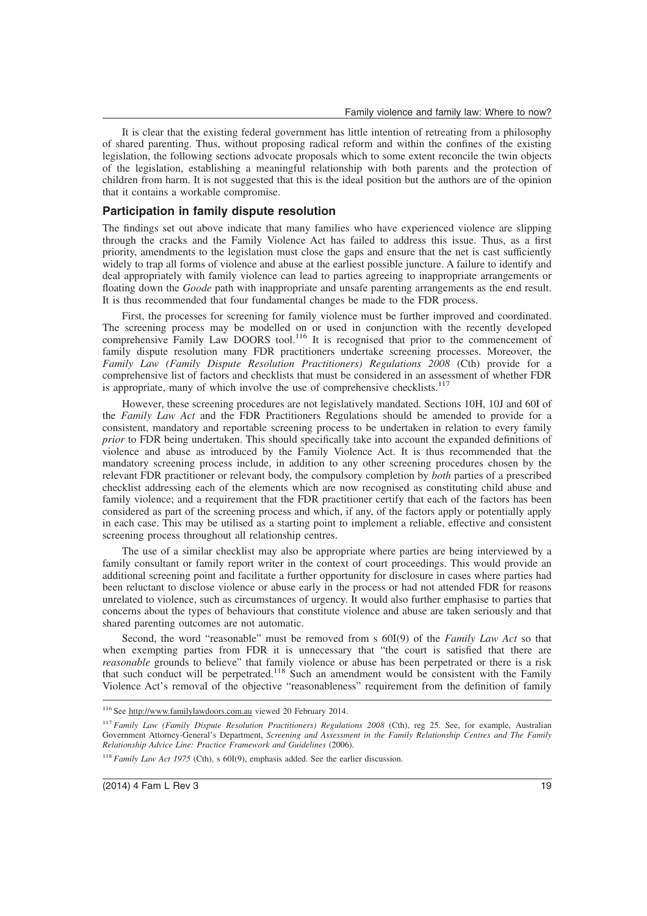It is clear that the existing federal government has little intention of retreating from a philosophy of shared parenting. Thus, without proposing radical reform and within the confines of the existing legislation, the following sections advocate proposals which to some extent reconcile the twin objects of the legislation, establishing a meaningful relationship with both parents and the protection of children from harm. It is not suggested that this is the ideal position but the authors are of the opinion that it contains a workable compromise.

## **Participation in family dispute resolution**

The findings set out above indicate that many families who have experienced violence are slipping through the cracks and the Family Violence Act has failed to address this issue. Thus, as a first priority, amendments to the legislation must close the gaps and ensure that the net is cast sufficiently widely to trap all forms of violence and abuse at the earliest possible juncture. A failure to identify and deal appropriately with family violence can lead to parties agreeing to inappropriate arrangements or floating down the *Goode* path with inappropriate and unsafe parenting arrangements as the end result. It is thus recommended that four fundamental changes be made to the FDR process.

First, the processes for screening for family violence must be further improved and coordinated. The screening process may be modelled on or used in conjunction with the recently developed comprehensive Family Law DOORS tool.<sup>116</sup> It is recognised that prior to the commencement of family dispute resolution many FDR practitioners undertake screening processes. Moreover, the *Family Law (Family Dispute Resolution Practitioners) Regulations 2008* (Cth) provide for a comprehensive list of factors and checklists that must be considered in an assessment of whether FDR is appropriate, many of which involve the use of comprehensive checklists. $117$ 

However, these screening procedures are not legislatively mandated. Sections 10H, 10J and 60I of the *Family Law Act* and the FDR Practitioners Regulations should be amended to provide for a consistent, mandatory and reportable screening process to be undertaken in relation to every family *prior* to FDR being undertaken. This should specifically take into account the expanded definitions of violence and abuse as introduced by the Family Violence Act. It is thus recommended that the mandatory screening process include, in addition to any other screening procedures chosen by the relevant FDR practitioner or relevant body, the compulsory completion by *both* parties of a prescribed checklist addressing each of the elements which are now recognised as constituting child abuse and family violence; and a requirement that the FDR practitioner certify that each of the factors has been considered as part of the screening process and which, if any, of the factors apply or potentially apply in each case. This may be utilised as a starting point to implement a reliable, effective and consistent screening process throughout all relationship centres.

The use of a similar checklist may also be appropriate where parties are being interviewed by a family consultant or family report writer in the context of court proceedings. This would provide an additional screening point and facilitate a further opportunity for disclosure in cases where parties had been reluctant to disclose violence or abuse early in the process or had not attended FDR for reasons unrelated to violence, such as circumstances of urgency. It would also further emphasise to parties that concerns about the types of behaviours that constitute violence and abuse are taken seriously and that shared parenting outcomes are not automatic.

Second, the word "reasonable" must be removed from s 60I(9) of the *Family Law Act* so that when exempting parties from FDR it is unnecessary that "the court is satisfied that there are *reasonable* grounds to believe" that family violence or abuse has been perpetrated or there is a risk that such conduct will be perpetrated.<sup>118</sup> Such an amendment would be consistent with the Family Violence Act's removal of the objective "reasonableness" requirement from the definition of family

<sup>116</sup> See http://www.familylawdoors.com.au viewed 20 February 2014.

<sup>&</sup>lt;sup>117</sup> *Family Law (Family Dispute Resolution Practitioners) Regulations 2008* (Cth), reg 25. See, for example, Australian Government Attorney-General's Department, *Screening and Assessment in the Family Relationship Centres and The Family Relationship Advice Line: Practice Framework and Guidelines* (2006).

<sup>&</sup>lt;sup>118</sup> *Family Law Act 1975* (Cth), s 60I(9), emphasis added. See the earlier discussion.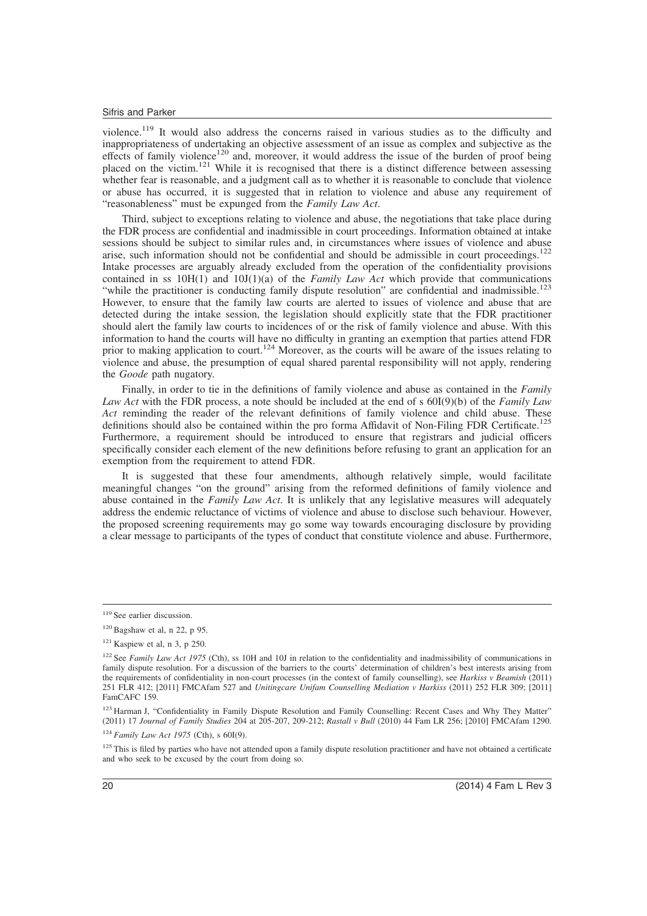violence.<sup>119</sup> It would also address the concerns raised in various studies as to the difficulty and inappropriateness of undertaking an objective assessment of an issue as complex and subjective as the effects of family violence<sup>120</sup> and, moreover, it would address the issue of the burden of proof being placed on the victim.<sup>121</sup> While it is recognised that there is a distinct difference between assessing whether fear is reasonable, and a judgment call as to whether it is reasonable to conclude that violence or abuse has occurred, it is suggested that in relation to violence and abuse any requirement of "reasonableness" must be expunged from the *Family Law Act*.

Third, subject to exceptions relating to violence and abuse, the negotiations that take place during the FDR process are confidential and inadmissible in court proceedings. Information obtained at intake sessions should be subject to similar rules and, in circumstances where issues of violence and abuse arise, such information should not be confidential and should be admissible in court proceedings.<sup>122</sup> Intake processes are arguably already excluded from the operation of the confidentiality provisions contained in ss  $10H(1)$  and  $10J(1)(a)$  of the *Family Law Act* which provide that communications "while the practitioner is conducting family dispute resolution" are confidential and inadmissible.<sup>123</sup> However, to ensure that the family law courts are alerted to issues of violence and abuse that are detected during the intake session, the legislation should explicitly state that the FDR practitioner should alert the family law courts to incidences of or the risk of family violence and abuse. With this information to hand the courts will have no difficulty in granting an exemption that parties attend FDR prior to making application to court.<sup>124</sup> Moreover, as the courts will be aware of the issues relating to violence and abuse, the presumption of equal shared parental responsibility will not apply, rendering the *Goode* path nugatory.

Finally, in order to tie in the definitions of family violence and abuse as contained in the *Family Law Act* with the FDR process, a note should be included at the end of s 60I(9)(b) of the *Family Law Act* reminding the reader of the relevant definitions of family violence and child abuse. These definitions should also be contained within the pro forma Affidavit of Non-Filing FDR Certificate.<sup>125</sup> Furthermore, a requirement should be introduced to ensure that registrars and judicial officers specifically consider each element of the new definitions before refusing to grant an application for an exemption from the requirement to attend FDR.

It is suggested that these four amendments, although relatively simple, would facilitate meaningful changes "on the ground" arising from the reformed definitions of family violence and abuse contained in the *Family Law Act*. It is unlikely that any legislative measures will adequately address the endemic reluctance of victims of violence and abuse to disclose such behaviour. However, the proposed screening requirements may go some way towards encouraging disclosure by providing a clear message to participants of the types of conduct that constitute violence and abuse. Furthermore,

<sup>&</sup>lt;sup>119</sup> See earlier discussion.

 $120$  Bagshaw et al, n 22, p 95.

 $121$  Kaspiew et al, n 3, p 250.

<sup>&</sup>lt;sup>122</sup> See *Family Law Act 1975* (Cth), ss 10H and 10J in relation to the confidentiality and inadmissibility of communications in family dispute resolution. For a discussion of the barriers to the courts' determination of children's best interests arising from the requirements of confidentiality in non-court processes (in the context of family counselling), see *Harkiss v Beamish* (2011) 251 FLR 412; [2011] FMCAfam 527 and *Unitingcare Unifam Counselling Mediation v Harkiss* (2011) 252 FLR 309; [2011] FamCAFC 159.

<sup>&</sup>lt;sup>123</sup> Harman J, "Confidentiality in Family Dispute Resolution and Family Counselling: Recent Cases and Why They Matter" (2011) 17 *Journal of Family Studies* 204 at 205-207, 209-212; *Rastall v Bull* (2010) 44 Fam LR 256; [2010] FMCAfam 1290.

<sup>124</sup> *Family Law Act 1975* (Cth), s 60I(9).

<sup>&</sup>lt;sup>125</sup> This is filed by parties who have not attended upon a family dispute resolution practitioner and have not obtained a certificate and who seek to be excused by the court from doing so.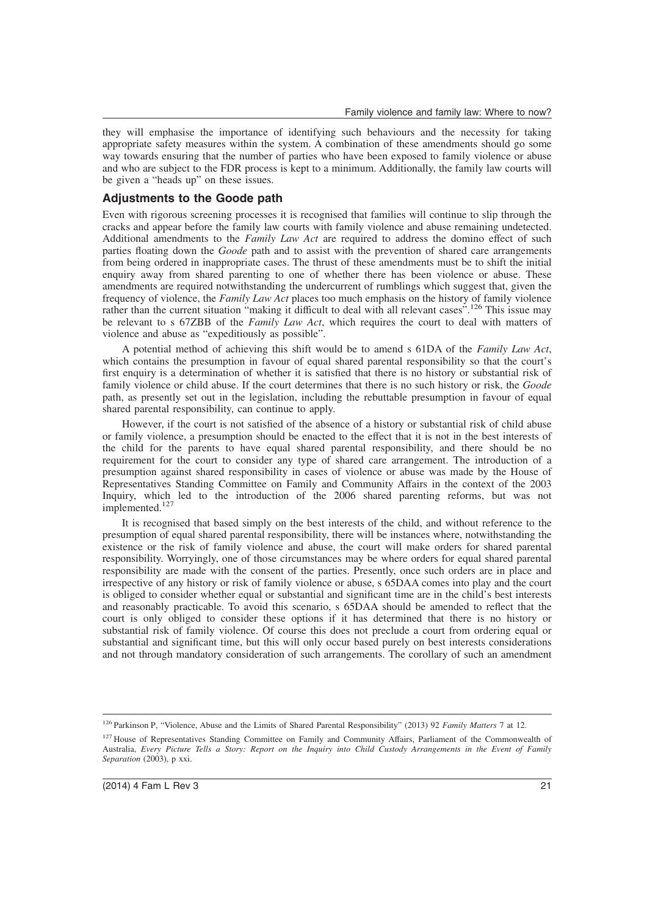they will emphasise the importance of identifying such behaviours and the necessity for taking appropriate safety measures within the system. A combination of these amendments should go some way towards ensuring that the number of parties who have been exposed to family violence or abuse and who are subject to the FDR process is kept to a minimum. Additionally, the family law courts will be given a "heads up" on these issues.

## **Adjustments to the Goode path**

Even with rigorous screening processes it is recognised that families will continue to slip through the cracks and appear before the family law courts with family violence and abuse remaining undetected. Additional amendments to the *Family Law Act* are required to address the domino effect of such parties floating down the *Goode* path and to assist with the prevention of shared care arrangements from being ordered in inappropriate cases. The thrust of these amendments must be to shift the initial enquiry away from shared parenting to one of whether there has been violence or abuse. These amendments are required notwithstanding the undercurrent of rumblings which suggest that, given the frequency of violence, the *Family Law Act* places too much emphasis on the history of family violence rather than the current situation "making it difficult to deal with all relevant cases".<sup>126</sup> This issue may be relevant to s 67ZBB of the *Family Law Act*, which requires the court to deal with matters of violence and abuse as "expeditiously as possible".

A potential method of achieving this shift would be to amend s 61DA of the *Family Law Act*, which contains the presumption in favour of equal shared parental responsibility so that the court's first enquiry is a determination of whether it is satisfied that there is no history or substantial risk of family violence or child abuse. If the court determines that there is no such history or risk, the *Goode* path, as presently set out in the legislation, including the rebuttable presumption in favour of equal shared parental responsibility, can continue to apply.

However, if the court is not satisfied of the absence of a history or substantial risk of child abuse or family violence, a presumption should be enacted to the effect that it is not in the best interests of the child for the parents to have equal shared parental responsibility, and there should be no requirement for the court to consider any type of shared care arrangement. The introduction of a presumption against shared responsibility in cases of violence or abuse was made by the House of Representatives Standing Committee on Family and Community Affairs in the context of the 2003 Inquiry, which led to the introduction of the 2006 shared parenting reforms, but was not implemented.<sup>127</sup>

It is recognised that based simply on the best interests of the child, and without reference to the presumption of equal shared parental responsibility, there will be instances where, notwithstanding the existence or the risk of family violence and abuse, the court will make orders for shared parental responsibility. Worryingly, one of those circumstances may be where orders for equal shared parental responsibility are made with the consent of the parties. Presently, once such orders are in place and irrespective of any history or risk of family violence or abuse, s 65DAA comes into play and the court is obliged to consider whether equal or substantial and significant time are in the child's best interests and reasonably practicable. To avoid this scenario, s 65DAA should be amended to reflect that the court is only obliged to consider these options if it has determined that there is no history or substantial risk of family violence. Of course this does not preclude a court from ordering equal or substantial and significant time, but this will only occur based purely on best interests considerations and not through mandatory consideration of such arrangements. The corollary of such an amendment

<sup>126</sup> Parkinson P, "Violence, Abuse and the Limits of Shared Parental Responsibility" (2013) 92 *Family Matters* 7 at 12.

<sup>&</sup>lt;sup>127</sup> House of Representatives Standing Committee on Family and Community Affairs, Parliament of the Commonwealth of Australia, *Every Picture Tells a Story: Report on the Inquiry into Child Custody Arrangements in the Event of Family Separation* (2003), p xxi.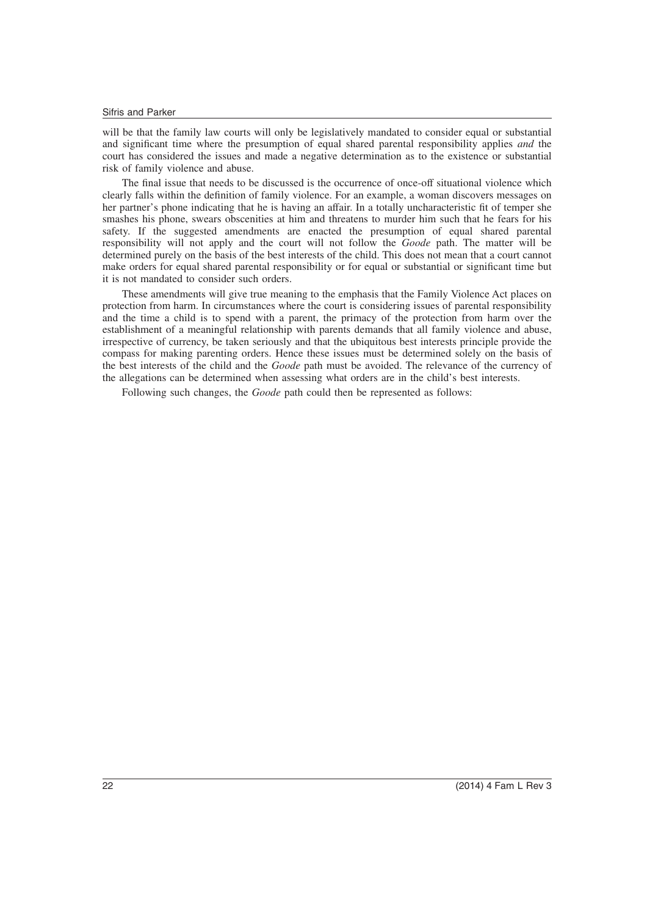will be that the family law courts will only be legislatively mandated to consider equal or substantial and significant time where the presumption of equal shared parental responsibility applies *and* the court has considered the issues and made a negative determination as to the existence or substantial risk of family violence and abuse.

The final issue that needs to be discussed is the occurrence of once-off situational violence which clearly falls within the definition of family violence. For an example, a woman discovers messages on her partner's phone indicating that he is having an affair. In a totally uncharacteristic fit of temper she smashes his phone, swears obscenities at him and threatens to murder him such that he fears for his safety. If the suggested amendments are enacted the presumption of equal shared parental responsibility will not apply and the court will not follow the *Goode* path. The matter will be determined purely on the basis of the best interests of the child. This does not mean that a court cannot make orders for equal shared parental responsibility or for equal or substantial or significant time but it is not mandated to consider such orders.

These amendments will give true meaning to the emphasis that the Family Violence Act places on protection from harm. In circumstances where the court is considering issues of parental responsibility and the time a child is to spend with a parent, the primacy of the protection from harm over the establishment of a meaningful relationship with parents demands that all family violence and abuse, irrespective of currency, be taken seriously and that the ubiquitous best interests principle provide the compass for making parenting orders. Hence these issues must be determined solely on the basis of the best interests of the child and the *Goode* path must be avoided. The relevance of the currency of the allegations can be determined when assessing what orders are in the child's best interests.

Following such changes, the *Goode* path could then be represented as follows: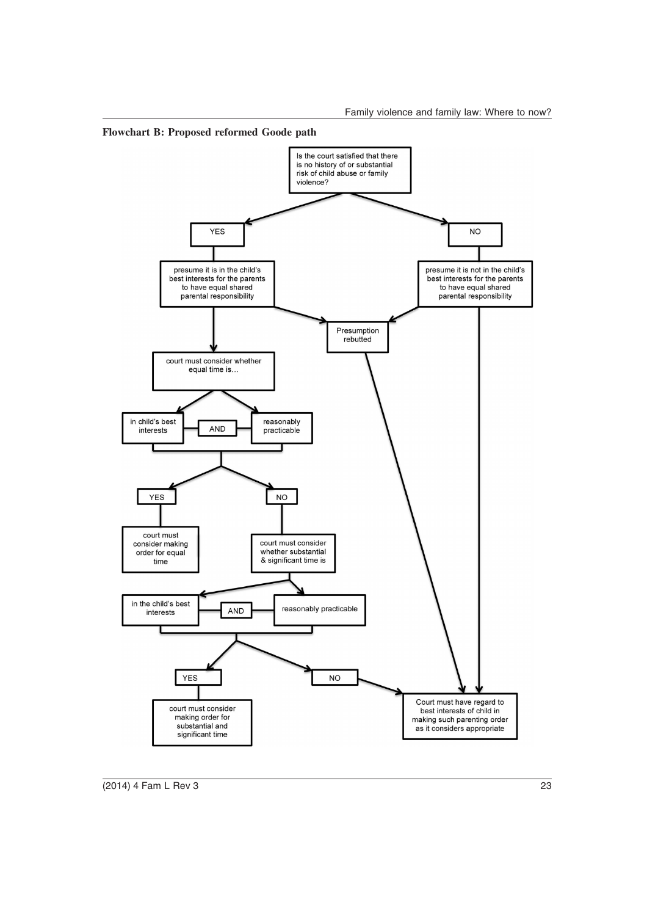

**Flowchart B: Proposed reformed Goode path**